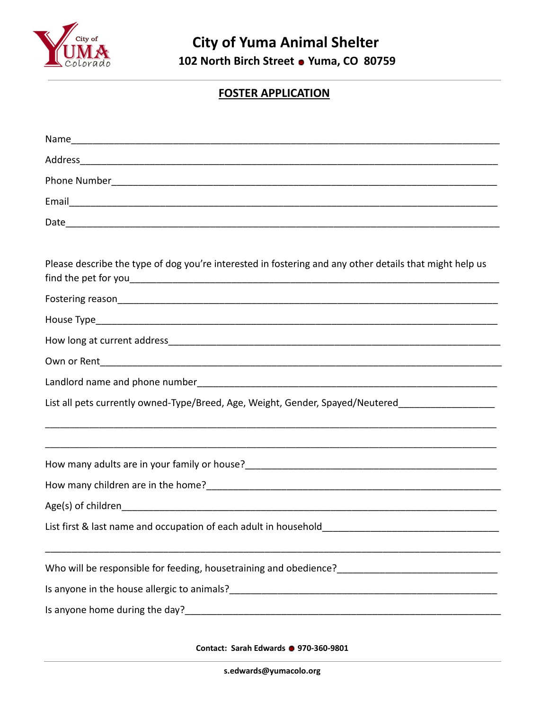

## **FOSTER APPLICATION**

| Please describe the type of dog you're interested in fostering and any other details that might help us                                                             |
|---------------------------------------------------------------------------------------------------------------------------------------------------------------------|
|                                                                                                                                                                     |
|                                                                                                                                                                     |
|                                                                                                                                                                     |
|                                                                                                                                                                     |
|                                                                                                                                                                     |
| List all pets currently owned-Type/Breed, Age, Weight, Gender, Spayed/Neutered_____________________                                                                 |
|                                                                                                                                                                     |
|                                                                                                                                                                     |
|                                                                                                                                                                     |
|                                                                                                                                                                     |
| List first & last name and occupation of each adult in household___________________________________                                                                 |
|                                                                                                                                                                     |
| Is anyone in the house allergic to animals?<br><u> and the manual contract of the contract of the contract of the set of the set of the set of the set of the s</u> |
|                                                                                                                                                                     |

**Contact: Sarah Edwards 970-360-9801**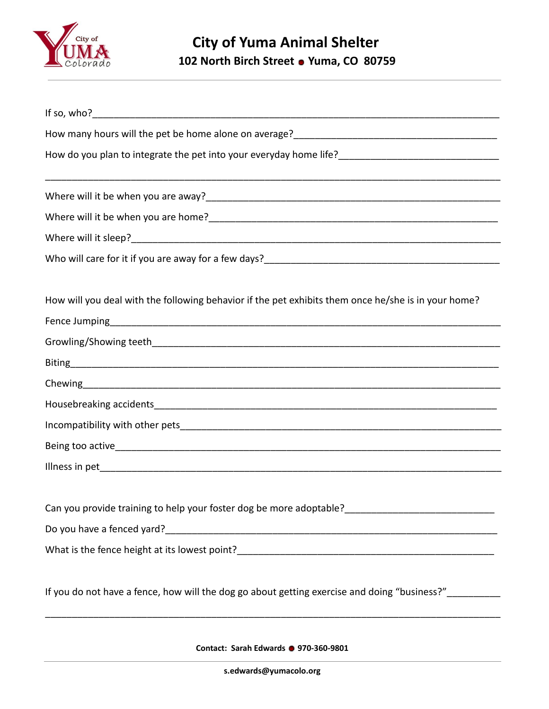

## **City of Yuma Animal Shelter 102 North Birch Street Yuma, CO 80759**

| How will you deal with the following behavior if the pet exhibits them once he/she is in your home?    |
|--------------------------------------------------------------------------------------------------------|
|                                                                                                        |
|                                                                                                        |
|                                                                                                        |
|                                                                                                        |
|                                                                                                        |
|                                                                                                        |
|                                                                                                        |
|                                                                                                        |
| Can you provide training to help your foster dog be more adoptable?________________________________    |
|                                                                                                        |
|                                                                                                        |
| If you do not have a fence, how will the dog go about getting exercise and doing "business?" _________ |

**Contact: Sarah Edwards 970-360-9801**